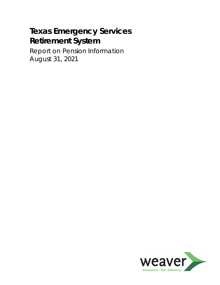Report on Pension Information August 31, 2021

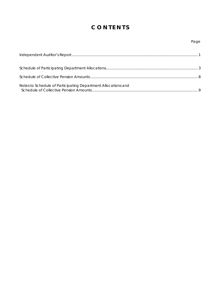# **C O N T E N T S**

| Notes to Schedule of Participating Department Allocations and |  |
|---------------------------------------------------------------|--|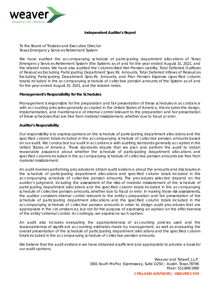

#### **Independent Auditor's Report**

To the Board of Trustees and Executive Director Texas Emergency Services Retirement System

We have audited the accompanying schedule of participating department allocations of Texas Emergency Services Retirement System (the System) as of and for the year ended August 31, 2021, and the related notes. We have also audited the columns titled Net Pension Liability, Total Deferred Outflows of Resources Excluding Participating Department Specific Amounts, Total Deferred Inflows of Resources Excluding Participating Department Specific Amounts, and Plan Pension Expense (specified column totals) included in the accompanying schedule of collective pension amounts of the System as of and for the year ended August 31, 2021, and the related notes.

#### **Management's Responsibility for the Schedules**

Management is responsible for the preparation and fair presentation of these schedules in accordance with accounting principles generally accepted in the United States of America; this includes the design, implementation, and maintenance of internal control relevant to the preparation and fair presentation of these schedules that are free from material misstatement, whether due to fraud or error.

#### **Auditor's Responsibility**

Our responsibility is to express opinions on the schedule of participating department allocations and the specified column totals included in the accompanying schedule of collective pension amounts based on our audit. We conducted our audit in accordance with auditing standards generally accepted in the United States of America. Those standards require that we plan and perform the audit to obtain reasonable assurance about whether the schedule of participating department allocations and specified columns included in the accompanying schedule of collective pension amounts are free from material misstatement.

An audit involves performing procedures to obtain audit evidence about the amounts and disclosures in the schedule of participating department allocations and specified column totals included in the accompanying schedule of collective pension amounts. The procedures selected depend on the auditor's judgment, including the assessment of the risks of material misstatement of the schedule of participating department allocations and the specified column totals included in the accompanying schedule of collective pension amounts, whether due to fraud or error. In making those risk assessments, the auditor considers internal control relevant to the entity's preparation and fair presentation of the schedule of participating department allocations and the specified column totals included in the accompanying schedule of collective pension amounts in order to design audit procedures that are appropriate in the circumstances, but not for the purpose of expressing an opinion on the effectiveness of the entity's internal control. Accordingly, we express no such opinion.

An audit also includes evaluating the appropriateness of accounting policies used and the reasonableness of significant accounting estimates made by management, as well as evaluating the overall presentation of the schedule of participating department allocations and the specified column totals included in the accompanying schedule of collective pension amounts.

We believe that the audit evidence we have obtained is sufficient and appropriate to provide a basis for our audit opinions.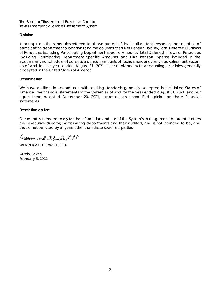The Board of Trustees and Executive Director Texas Emergency Services Retirement System

#### **Opinion**

In our opinion, the schedules referred to above presents fairly, in all material respects, the schedule of participating department allocations and the columns titled Net Pension Liability, Total Deferred Outflows of Resources Excluding Participating Department Specific Amounts, Total Deferred Inflows of Resources Excluding Participating Department Specific Amounts, and Plan Pension Expense included in the accompanying schedule of collective pension amounts of Texas Emergency Services Retirement System as of and for the year ended August 31, 2021, in accordance with accounting principles generally accepted in the United States of America.

#### **Other Matter**

We have audited, in accordance with auditing standards generally accepted in the United States of America, the financial statements of the System as of and for the year ended August 31, 2021, and our report thereon, dated December 20, 2021, expressed an unmodified opinion on those financial statements.

#### **Restriction on Use**

Our report is intended solely for the information and use of the System's management, board of trustees and executive director, participating departments and their auditors, and is not intended to be, and should not be, used by anyone other than these specified parties.

Weaver and Iiduell, L.S.P.

WEAVER AND TIDWELL, L.L.P.

Austin, Texas February 8, 2022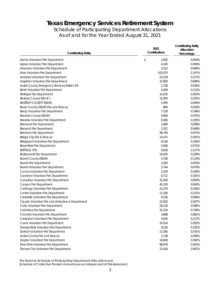Schedule of Participating Department Allocations As of and for the Year Ended August 31, 2021

| \$<br>Alamo Volunteer Fire Department<br>2,592<br>0.054%<br>0.090%<br>Alpine Volunteer Fire Department<br>4,320<br>0.069%<br>Alvarado Volunteer Fire Department<br>3,312<br>103,075<br>Alvin Volunteer Fire Department<br>2.147%<br>Andrews Volunteer Fire Department<br>15,228<br>0.317%<br>0.686%<br>Angleton Volunteer Fire Department<br>32,950<br>0.036%<br>Austin County Emergency Services District #2<br>1,728<br>5,400<br>0.112%<br><b>Baird Volunteer Fire Department</b><br>0.303%<br><b>Ballinger Fire Department</b><br>14,535<br>0.332%<br>Bastrop County ESD # 1<br>15,950<br><b>BASTROP COUNTY ESD#2</b><br>0.040%<br>1,944<br>0.018%<br>Bexar County ESD#5 Fire and Rescue<br>864<br>7,128<br><b>Brady Volunteer Fire Department</b><br>0.148%<br>3,600<br>0.075%<br>Brazoria County ESD#3<br>9,360<br>0.195%<br>Brazoria Volunteer Fire Department<br>0.038%<br><b>Bremond Fire Department</b><br>1,806<br>2,322<br><b>Bremont Fire Department</b><br>0.048%<br>46,760<br>0.974%<br>Brenham Fire Department<br><b>Bridge City Fire &amp; Rescue</b><br>14,472<br>0.301%<br>0.190%<br><b>Bridgeport Volunteer Fire Department</b><br>9,144<br>0.072%<br><b>Brownfield Fire Department</b><br>3,456<br>0.117%<br><b>BUFFALO VFD</b><br>5,616<br>0.209%<br><b>Burkburnett Fire Department</b><br>10,035<br>5,700<br>Burnet County ESD#4<br>0.119%<br>0.054%<br><b>Burnet Fire Department</b><br>2,592<br>0.078%<br><b>Burnet Volunteer Fire Department</b><br>3,744<br>0.109%<br>Cactus Volunteer Fire Department<br>5,220<br>8,712<br>0.181%<br>Cameron Volunteer Fire Department<br>31,200<br>Canadian Volunteer Fire Department<br>0.650%<br>Canyon Fire Department<br>45,150<br>0.940%<br>0.256%<br>12,276<br>Carthage Volunteer Fire Department<br>0.232%<br>Center Volunteer Fire Department<br>11,160<br>0.094%<br>Clarksville Volunteer Fire Department<br>4,536<br>0.267%<br>Claude Volunteer Fire and Ambulance Department<br>12,816<br>Clute Volunteer Fire Department<br>28,130<br>0.586%<br>0.736%<br>Columbus Fire Department<br>35,320<br>Crockett Volunteer Fire Department<br>3,888<br>0.081%<br>5,616<br>Crosbyton Volunteer Fire Department<br>0.117%<br>Cuero Volunteer Fire Department<br>14,514<br>0.302%<br>Daingerfield Volunteer Fire Department<br>9,216<br>0.192%<br>Dalhart Volunteer Fire Department<br>11,592<br>0.241%<br>Dallas County Fire and Rescue<br>1,728<br>0.036%<br>Dayton Volunteer Fire Department<br>18,828<br>0.392%<br>Deer Park Volunteer Fire Department<br>98,076<br>2.043%<br>Denver City Volunteer Fire Department<br>22,416<br>0.467% | <b>Contributing Entity</b> | 2021<br>Contributions | <b>Contributing Entity</b><br>Allocation<br>Percentage |  |
|----------------------------------------------------------------------------------------------------------------------------------------------------------------------------------------------------------------------------------------------------------------------------------------------------------------------------------------------------------------------------------------------------------------------------------------------------------------------------------------------------------------------------------------------------------------------------------------------------------------------------------------------------------------------------------------------------------------------------------------------------------------------------------------------------------------------------------------------------------------------------------------------------------------------------------------------------------------------------------------------------------------------------------------------------------------------------------------------------------------------------------------------------------------------------------------------------------------------------------------------------------------------------------------------------------------------------------------------------------------------------------------------------------------------------------------------------------------------------------------------------------------------------------------------------------------------------------------------------------------------------------------------------------------------------------------------------------------------------------------------------------------------------------------------------------------------------------------------------------------------------------------------------------------------------------------------------------------------------------------------------------------------------------------------------------------------------------------------------------------------------------------------------------------------------------------------------------------------------------------------------------------------------------------------------------------------------------------------------------------------------------------------------------------------------------------------------------------------------------------------------------------------------------------------------------------------------------------------------------|----------------------------|-----------------------|--------------------------------------------------------|--|
|                                                                                                                                                                                                                                                                                                                                                                                                                                                                                                                                                                                                                                                                                                                                                                                                                                                                                                                                                                                                                                                                                                                                                                                                                                                                                                                                                                                                                                                                                                                                                                                                                                                                                                                                                                                                                                                                                                                                                                                                                                                                                                                                                                                                                                                                                                                                                                                                                                                                                                                                                                                                          |                            |                       |                                                        |  |
|                                                                                                                                                                                                                                                                                                                                                                                                                                                                                                                                                                                                                                                                                                                                                                                                                                                                                                                                                                                                                                                                                                                                                                                                                                                                                                                                                                                                                                                                                                                                                                                                                                                                                                                                                                                                                                                                                                                                                                                                                                                                                                                                                                                                                                                                                                                                                                                                                                                                                                                                                                                                          |                            |                       |                                                        |  |
|                                                                                                                                                                                                                                                                                                                                                                                                                                                                                                                                                                                                                                                                                                                                                                                                                                                                                                                                                                                                                                                                                                                                                                                                                                                                                                                                                                                                                                                                                                                                                                                                                                                                                                                                                                                                                                                                                                                                                                                                                                                                                                                                                                                                                                                                                                                                                                                                                                                                                                                                                                                                          |                            |                       |                                                        |  |
|                                                                                                                                                                                                                                                                                                                                                                                                                                                                                                                                                                                                                                                                                                                                                                                                                                                                                                                                                                                                                                                                                                                                                                                                                                                                                                                                                                                                                                                                                                                                                                                                                                                                                                                                                                                                                                                                                                                                                                                                                                                                                                                                                                                                                                                                                                                                                                                                                                                                                                                                                                                                          |                            |                       |                                                        |  |
|                                                                                                                                                                                                                                                                                                                                                                                                                                                                                                                                                                                                                                                                                                                                                                                                                                                                                                                                                                                                                                                                                                                                                                                                                                                                                                                                                                                                                                                                                                                                                                                                                                                                                                                                                                                                                                                                                                                                                                                                                                                                                                                                                                                                                                                                                                                                                                                                                                                                                                                                                                                                          |                            |                       |                                                        |  |
|                                                                                                                                                                                                                                                                                                                                                                                                                                                                                                                                                                                                                                                                                                                                                                                                                                                                                                                                                                                                                                                                                                                                                                                                                                                                                                                                                                                                                                                                                                                                                                                                                                                                                                                                                                                                                                                                                                                                                                                                                                                                                                                                                                                                                                                                                                                                                                                                                                                                                                                                                                                                          |                            |                       |                                                        |  |
|                                                                                                                                                                                                                                                                                                                                                                                                                                                                                                                                                                                                                                                                                                                                                                                                                                                                                                                                                                                                                                                                                                                                                                                                                                                                                                                                                                                                                                                                                                                                                                                                                                                                                                                                                                                                                                                                                                                                                                                                                                                                                                                                                                                                                                                                                                                                                                                                                                                                                                                                                                                                          |                            |                       |                                                        |  |
|                                                                                                                                                                                                                                                                                                                                                                                                                                                                                                                                                                                                                                                                                                                                                                                                                                                                                                                                                                                                                                                                                                                                                                                                                                                                                                                                                                                                                                                                                                                                                                                                                                                                                                                                                                                                                                                                                                                                                                                                                                                                                                                                                                                                                                                                                                                                                                                                                                                                                                                                                                                                          |                            |                       |                                                        |  |
|                                                                                                                                                                                                                                                                                                                                                                                                                                                                                                                                                                                                                                                                                                                                                                                                                                                                                                                                                                                                                                                                                                                                                                                                                                                                                                                                                                                                                                                                                                                                                                                                                                                                                                                                                                                                                                                                                                                                                                                                                                                                                                                                                                                                                                                                                                                                                                                                                                                                                                                                                                                                          |                            |                       |                                                        |  |
|                                                                                                                                                                                                                                                                                                                                                                                                                                                                                                                                                                                                                                                                                                                                                                                                                                                                                                                                                                                                                                                                                                                                                                                                                                                                                                                                                                                                                                                                                                                                                                                                                                                                                                                                                                                                                                                                                                                                                                                                                                                                                                                                                                                                                                                                                                                                                                                                                                                                                                                                                                                                          |                            |                       |                                                        |  |
|                                                                                                                                                                                                                                                                                                                                                                                                                                                                                                                                                                                                                                                                                                                                                                                                                                                                                                                                                                                                                                                                                                                                                                                                                                                                                                                                                                                                                                                                                                                                                                                                                                                                                                                                                                                                                                                                                                                                                                                                                                                                                                                                                                                                                                                                                                                                                                                                                                                                                                                                                                                                          |                            |                       |                                                        |  |
|                                                                                                                                                                                                                                                                                                                                                                                                                                                                                                                                                                                                                                                                                                                                                                                                                                                                                                                                                                                                                                                                                                                                                                                                                                                                                                                                                                                                                                                                                                                                                                                                                                                                                                                                                                                                                                                                                                                                                                                                                                                                                                                                                                                                                                                                                                                                                                                                                                                                                                                                                                                                          |                            |                       |                                                        |  |
|                                                                                                                                                                                                                                                                                                                                                                                                                                                                                                                                                                                                                                                                                                                                                                                                                                                                                                                                                                                                                                                                                                                                                                                                                                                                                                                                                                                                                                                                                                                                                                                                                                                                                                                                                                                                                                                                                                                                                                                                                                                                                                                                                                                                                                                                                                                                                                                                                                                                                                                                                                                                          |                            |                       |                                                        |  |
|                                                                                                                                                                                                                                                                                                                                                                                                                                                                                                                                                                                                                                                                                                                                                                                                                                                                                                                                                                                                                                                                                                                                                                                                                                                                                                                                                                                                                                                                                                                                                                                                                                                                                                                                                                                                                                                                                                                                                                                                                                                                                                                                                                                                                                                                                                                                                                                                                                                                                                                                                                                                          |                            |                       |                                                        |  |
|                                                                                                                                                                                                                                                                                                                                                                                                                                                                                                                                                                                                                                                                                                                                                                                                                                                                                                                                                                                                                                                                                                                                                                                                                                                                                                                                                                                                                                                                                                                                                                                                                                                                                                                                                                                                                                                                                                                                                                                                                                                                                                                                                                                                                                                                                                                                                                                                                                                                                                                                                                                                          |                            |                       |                                                        |  |
|                                                                                                                                                                                                                                                                                                                                                                                                                                                                                                                                                                                                                                                                                                                                                                                                                                                                                                                                                                                                                                                                                                                                                                                                                                                                                                                                                                                                                                                                                                                                                                                                                                                                                                                                                                                                                                                                                                                                                                                                                                                                                                                                                                                                                                                                                                                                                                                                                                                                                                                                                                                                          |                            |                       |                                                        |  |
|                                                                                                                                                                                                                                                                                                                                                                                                                                                                                                                                                                                                                                                                                                                                                                                                                                                                                                                                                                                                                                                                                                                                                                                                                                                                                                                                                                                                                                                                                                                                                                                                                                                                                                                                                                                                                                                                                                                                                                                                                                                                                                                                                                                                                                                                                                                                                                                                                                                                                                                                                                                                          |                            |                       |                                                        |  |
|                                                                                                                                                                                                                                                                                                                                                                                                                                                                                                                                                                                                                                                                                                                                                                                                                                                                                                                                                                                                                                                                                                                                                                                                                                                                                                                                                                                                                                                                                                                                                                                                                                                                                                                                                                                                                                                                                                                                                                                                                                                                                                                                                                                                                                                                                                                                                                                                                                                                                                                                                                                                          |                            |                       |                                                        |  |
|                                                                                                                                                                                                                                                                                                                                                                                                                                                                                                                                                                                                                                                                                                                                                                                                                                                                                                                                                                                                                                                                                                                                                                                                                                                                                                                                                                                                                                                                                                                                                                                                                                                                                                                                                                                                                                                                                                                                                                                                                                                                                                                                                                                                                                                                                                                                                                                                                                                                                                                                                                                                          |                            |                       |                                                        |  |
|                                                                                                                                                                                                                                                                                                                                                                                                                                                                                                                                                                                                                                                                                                                                                                                                                                                                                                                                                                                                                                                                                                                                                                                                                                                                                                                                                                                                                                                                                                                                                                                                                                                                                                                                                                                                                                                                                                                                                                                                                                                                                                                                                                                                                                                                                                                                                                                                                                                                                                                                                                                                          |                            |                       |                                                        |  |
|                                                                                                                                                                                                                                                                                                                                                                                                                                                                                                                                                                                                                                                                                                                                                                                                                                                                                                                                                                                                                                                                                                                                                                                                                                                                                                                                                                                                                                                                                                                                                                                                                                                                                                                                                                                                                                                                                                                                                                                                                                                                                                                                                                                                                                                                                                                                                                                                                                                                                                                                                                                                          |                            |                       |                                                        |  |
|                                                                                                                                                                                                                                                                                                                                                                                                                                                                                                                                                                                                                                                                                                                                                                                                                                                                                                                                                                                                                                                                                                                                                                                                                                                                                                                                                                                                                                                                                                                                                                                                                                                                                                                                                                                                                                                                                                                                                                                                                                                                                                                                                                                                                                                                                                                                                                                                                                                                                                                                                                                                          |                            |                       |                                                        |  |
|                                                                                                                                                                                                                                                                                                                                                                                                                                                                                                                                                                                                                                                                                                                                                                                                                                                                                                                                                                                                                                                                                                                                                                                                                                                                                                                                                                                                                                                                                                                                                                                                                                                                                                                                                                                                                                                                                                                                                                                                                                                                                                                                                                                                                                                                                                                                                                                                                                                                                                                                                                                                          |                            |                       |                                                        |  |
|                                                                                                                                                                                                                                                                                                                                                                                                                                                                                                                                                                                                                                                                                                                                                                                                                                                                                                                                                                                                                                                                                                                                                                                                                                                                                                                                                                                                                                                                                                                                                                                                                                                                                                                                                                                                                                                                                                                                                                                                                                                                                                                                                                                                                                                                                                                                                                                                                                                                                                                                                                                                          |                            |                       |                                                        |  |
|                                                                                                                                                                                                                                                                                                                                                                                                                                                                                                                                                                                                                                                                                                                                                                                                                                                                                                                                                                                                                                                                                                                                                                                                                                                                                                                                                                                                                                                                                                                                                                                                                                                                                                                                                                                                                                                                                                                                                                                                                                                                                                                                                                                                                                                                                                                                                                                                                                                                                                                                                                                                          |                            |                       |                                                        |  |
|                                                                                                                                                                                                                                                                                                                                                                                                                                                                                                                                                                                                                                                                                                                                                                                                                                                                                                                                                                                                                                                                                                                                                                                                                                                                                                                                                                                                                                                                                                                                                                                                                                                                                                                                                                                                                                                                                                                                                                                                                                                                                                                                                                                                                                                                                                                                                                                                                                                                                                                                                                                                          |                            |                       |                                                        |  |
|                                                                                                                                                                                                                                                                                                                                                                                                                                                                                                                                                                                                                                                                                                                                                                                                                                                                                                                                                                                                                                                                                                                                                                                                                                                                                                                                                                                                                                                                                                                                                                                                                                                                                                                                                                                                                                                                                                                                                                                                                                                                                                                                                                                                                                                                                                                                                                                                                                                                                                                                                                                                          |                            |                       |                                                        |  |
|                                                                                                                                                                                                                                                                                                                                                                                                                                                                                                                                                                                                                                                                                                                                                                                                                                                                                                                                                                                                                                                                                                                                                                                                                                                                                                                                                                                                                                                                                                                                                                                                                                                                                                                                                                                                                                                                                                                                                                                                                                                                                                                                                                                                                                                                                                                                                                                                                                                                                                                                                                                                          |                            |                       |                                                        |  |
|                                                                                                                                                                                                                                                                                                                                                                                                                                                                                                                                                                                                                                                                                                                                                                                                                                                                                                                                                                                                                                                                                                                                                                                                                                                                                                                                                                                                                                                                                                                                                                                                                                                                                                                                                                                                                                                                                                                                                                                                                                                                                                                                                                                                                                                                                                                                                                                                                                                                                                                                                                                                          |                            |                       |                                                        |  |
|                                                                                                                                                                                                                                                                                                                                                                                                                                                                                                                                                                                                                                                                                                                                                                                                                                                                                                                                                                                                                                                                                                                                                                                                                                                                                                                                                                                                                                                                                                                                                                                                                                                                                                                                                                                                                                                                                                                                                                                                                                                                                                                                                                                                                                                                                                                                                                                                                                                                                                                                                                                                          |                            |                       |                                                        |  |
|                                                                                                                                                                                                                                                                                                                                                                                                                                                                                                                                                                                                                                                                                                                                                                                                                                                                                                                                                                                                                                                                                                                                                                                                                                                                                                                                                                                                                                                                                                                                                                                                                                                                                                                                                                                                                                                                                                                                                                                                                                                                                                                                                                                                                                                                                                                                                                                                                                                                                                                                                                                                          |                            |                       |                                                        |  |
|                                                                                                                                                                                                                                                                                                                                                                                                                                                                                                                                                                                                                                                                                                                                                                                                                                                                                                                                                                                                                                                                                                                                                                                                                                                                                                                                                                                                                                                                                                                                                                                                                                                                                                                                                                                                                                                                                                                                                                                                                                                                                                                                                                                                                                                                                                                                                                                                                                                                                                                                                                                                          |                            |                       |                                                        |  |
|                                                                                                                                                                                                                                                                                                                                                                                                                                                                                                                                                                                                                                                                                                                                                                                                                                                                                                                                                                                                                                                                                                                                                                                                                                                                                                                                                                                                                                                                                                                                                                                                                                                                                                                                                                                                                                                                                                                                                                                                                                                                                                                                                                                                                                                                                                                                                                                                                                                                                                                                                                                                          |                            |                       |                                                        |  |
|                                                                                                                                                                                                                                                                                                                                                                                                                                                                                                                                                                                                                                                                                                                                                                                                                                                                                                                                                                                                                                                                                                                                                                                                                                                                                                                                                                                                                                                                                                                                                                                                                                                                                                                                                                                                                                                                                                                                                                                                                                                                                                                                                                                                                                                                                                                                                                                                                                                                                                                                                                                                          |                            |                       |                                                        |  |
|                                                                                                                                                                                                                                                                                                                                                                                                                                                                                                                                                                                                                                                                                                                                                                                                                                                                                                                                                                                                                                                                                                                                                                                                                                                                                                                                                                                                                                                                                                                                                                                                                                                                                                                                                                                                                                                                                                                                                                                                                                                                                                                                                                                                                                                                                                                                                                                                                                                                                                                                                                                                          |                            |                       |                                                        |  |
|                                                                                                                                                                                                                                                                                                                                                                                                                                                                                                                                                                                                                                                                                                                                                                                                                                                                                                                                                                                                                                                                                                                                                                                                                                                                                                                                                                                                                                                                                                                                                                                                                                                                                                                                                                                                                                                                                                                                                                                                                                                                                                                                                                                                                                                                                                                                                                                                                                                                                                                                                                                                          |                            |                       |                                                        |  |
|                                                                                                                                                                                                                                                                                                                                                                                                                                                                                                                                                                                                                                                                                                                                                                                                                                                                                                                                                                                                                                                                                                                                                                                                                                                                                                                                                                                                                                                                                                                                                                                                                                                                                                                                                                                                                                                                                                                                                                                                                                                                                                                                                                                                                                                                                                                                                                                                                                                                                                                                                                                                          |                            |                       |                                                        |  |
|                                                                                                                                                                                                                                                                                                                                                                                                                                                                                                                                                                                                                                                                                                                                                                                                                                                                                                                                                                                                                                                                                                                                                                                                                                                                                                                                                                                                                                                                                                                                                                                                                                                                                                                                                                                                                                                                                                                                                                                                                                                                                                                                                                                                                                                                                                                                                                                                                                                                                                                                                                                                          |                            |                       |                                                        |  |
|                                                                                                                                                                                                                                                                                                                                                                                                                                                                                                                                                                                                                                                                                                                                                                                                                                                                                                                                                                                                                                                                                                                                                                                                                                                                                                                                                                                                                                                                                                                                                                                                                                                                                                                                                                                                                                                                                                                                                                                                                                                                                                                                                                                                                                                                                                                                                                                                                                                                                                                                                                                                          |                            |                       |                                                        |  |
|                                                                                                                                                                                                                                                                                                                                                                                                                                                                                                                                                                                                                                                                                                                                                                                                                                                                                                                                                                                                                                                                                                                                                                                                                                                                                                                                                                                                                                                                                                                                                                                                                                                                                                                                                                                                                                                                                                                                                                                                                                                                                                                                                                                                                                                                                                                                                                                                                                                                                                                                                                                                          |                            |                       |                                                        |  |
|                                                                                                                                                                                                                                                                                                                                                                                                                                                                                                                                                                                                                                                                                                                                                                                                                                                                                                                                                                                                                                                                                                                                                                                                                                                                                                                                                                                                                                                                                                                                                                                                                                                                                                                                                                                                                                                                                                                                                                                                                                                                                                                                                                                                                                                                                                                                                                                                                                                                                                                                                                                                          |                            |                       |                                                        |  |
|                                                                                                                                                                                                                                                                                                                                                                                                                                                                                                                                                                                                                                                                                                                                                                                                                                                                                                                                                                                                                                                                                                                                                                                                                                                                                                                                                                                                                                                                                                                                                                                                                                                                                                                                                                                                                                                                                                                                                                                                                                                                                                                                                                                                                                                                                                                                                                                                                                                                                                                                                                                                          |                            |                       |                                                        |  |
|                                                                                                                                                                                                                                                                                                                                                                                                                                                                                                                                                                                                                                                                                                                                                                                                                                                                                                                                                                                                                                                                                                                                                                                                                                                                                                                                                                                                                                                                                                                                                                                                                                                                                                                                                                                                                                                                                                                                                                                                                                                                                                                                                                                                                                                                                                                                                                                                                                                                                                                                                                                                          |                            |                       |                                                        |  |
|                                                                                                                                                                                                                                                                                                                                                                                                                                                                                                                                                                                                                                                                                                                                                                                                                                                                                                                                                                                                                                                                                                                                                                                                                                                                                                                                                                                                                                                                                                                                                                                                                                                                                                                                                                                                                                                                                                                                                                                                                                                                                                                                                                                                                                                                                                                                                                                                                                                                                                                                                                                                          |                            |                       |                                                        |  |
|                                                                                                                                                                                                                                                                                                                                                                                                                                                                                                                                                                                                                                                                                                                                                                                                                                                                                                                                                                                                                                                                                                                                                                                                                                                                                                                                                                                                                                                                                                                                                                                                                                                                                                                                                                                                                                                                                                                                                                                                                                                                                                                                                                                                                                                                                                                                                                                                                                                                                                                                                                                                          |                            |                       |                                                        |  |
|                                                                                                                                                                                                                                                                                                                                                                                                                                                                                                                                                                                                                                                                                                                                                                                                                                                                                                                                                                                                                                                                                                                                                                                                                                                                                                                                                                                                                                                                                                                                                                                                                                                                                                                                                                                                                                                                                                                                                                                                                                                                                                                                                                                                                                                                                                                                                                                                                                                                                                                                                                                                          |                            |                       |                                                        |  |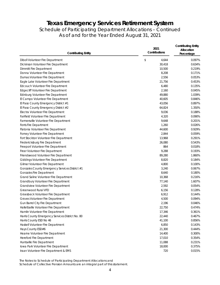### Schedule of Participating Department Allocations – Continued As of and for the Year Ended August 31, 2021

| <b>Contributing Entity</b>                       | 2021<br>Contributions | <b>Contributing Entity</b><br>Allocation<br>Percentage |  |
|--------------------------------------------------|-----------------------|--------------------------------------------------------|--|
| Diboll Volunteer Fire Department                 | \$<br>4,644           | 0.097%                                                 |  |
| Dickinson Volunteer Fire Department              | 30,418                | 0.634%                                                 |  |
| Dimmitt Fire Department                          | 10,500                | 0.219%                                                 |  |
| Donna Volunteer Fire Department                  | 8,208                 | 0.171%                                                 |  |
| Dumas Volunteer Fire Department                  | 2,556                 | 0.053%                                                 |  |
| Eagle Lake Volunteer Fire Department             | 21,756                | 0.453%                                                 |  |
| Edcouch Volunteer Fire Department                | 6,480                 | 0.135%                                                 |  |
| <b>Edgecliff Volunteer Fire Department</b>       | 2,160                 | 0.045%                                                 |  |
| Edinburg Volunteer Fire Department               | 49,880                | 1.039%                                                 |  |
| El Campo Volunteer Fire Department               | 40,605                | 0.846%                                                 |  |
| El Paso County Emergency District #1             | 43,056                | 0.897%                                                 |  |
| El Paso County Emergency District #2             | 64,824                | 1.350%                                                 |  |
| Electra Volunteer Fire Department                | 9,036                 | 0.188%                                                 |  |
| Fairfield Volunteer Fire Department              | 4,320                 | 0.090%                                                 |  |
| Farmersville Volunteer Fire Department           | 9,648                 | 0.201%                                                 |  |
| Ferris Fire Department                           | 1,260                 | 0.026%                                                 |  |
| Flatonia Volunteer Fire Department               | 44,600                | 0.929%                                                 |  |
| Forney Volunteer Fire Department                 | 2,844                 | 0.059%                                                 |  |
| Fort Stockton Volunteer Fire Department          | 13,968                | 0.291%                                                 |  |
| Fredericksburg Fire Department                   | 26,080                | 0.543%                                                 |  |
| Freeport Volunteer Fire Department               | 864                   | 0.018%                                                 |  |
| Freer Volunteer Fire Department                  | 9,288                 | 0.193%                                                 |  |
| Friendswood Volunteer Fire Department            | 89,280                | 1.860%                                                 |  |
| Giddings Volunteer Fire Department               | 8,820                 | 0.184%                                                 |  |
| Gilmer Volunteer Fire Department                 | 4,800                 | 0.100%                                                 |  |
| Gonzales County Emergency Services District #1   | 3,240                 | 0.067%                                                 |  |
| Gonzales Fire Department                         | 8,640                 | 0.180%                                                 |  |
| Grand Saline Volunteer Fire Department           | 10,368                | 0.216%                                                 |  |
| Grandbury Volunteer Fire Department              | 77,140                | 1.607%                                                 |  |
| Grandview Volunteer Fire Department              | 2,592                 | 0.054%                                                 |  |
| Greenwood Rural VFD                              | 6,156                 | 0.128%                                                 |  |
| Groesbeck Volunteer Fire Department              | 6,912                 | 0.144%                                                 |  |
| Groves Volunteer Fire Department                 | 4,500                 | 0.094%                                                 |  |
| Gun Barrel City Fire Department                  | 2,196                 | 0.046%                                                 |  |
| Hallettsville Volunteer Fire Department          | 22,750                | 0.474%                                                 |  |
| Hamlin Volunteer Fire Department                 | 17,346                | 0.361%                                                 |  |
| Harris County Emergency Services District No. 80 | 22,440                | 0.467%                                                 |  |
| Harris County ESD No 46                          | 41,100                | 0.856%                                                 |  |
| Haskell Volunteer Fire Department                | 6,850                 | 0.143%                                                 |  |
| Hays County ESD#6                                | 21,300                | 0.444%                                                 |  |
| Hearne Volunteer Fire Department                 | 14,400                | 0.300%                                                 |  |
| Hereford Fire Department                         | 17,010                | 0.354%                                                 |  |
| Huntsville Fire Department                       | 11,088                | 0.231%                                                 |  |
| Iowa Park Volunteer Fire Department              | 18,000                | 0.375%                                                 |  |
| Iraan Volunteer Fire Department & EMS            | 720                   | 0.015%                                                 |  |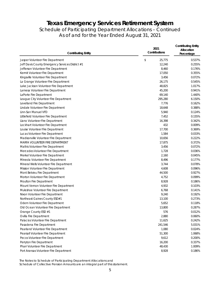### Schedule of Participating Department Allocations – Continued As of and for the Year Ended August 31, 2021

| <b>Contributing Entity</b>                       | 2021<br>Contributions | <b>Contributing Entity</b><br>Allocation<br>Percentage |  |
|--------------------------------------------------|-----------------------|--------------------------------------------------------|--|
| Jasper Volunteer Fire Department                 | \$<br>25,775          | 0.537%                                                 |  |
| Jeff Davis County Emergency Services District #1 | 12,240                | 0.255%                                                 |  |
| Jefferson Volunteer Fire Department              | 8,460                 | 0.176%                                                 |  |
| Kermit Volunteer Fire Department                 | 17,050                | 0.355%                                                 |  |
| Kingsville Volunteer Fire Department             | 3,456                 | 0.072%                                                 |  |
| La Grange Volunteer Fire Department              | 26,175                | 0.545%                                                 |  |
| Lake Jackson Volunteer Fire Department           | 48,825                | 1.017%                                                 |  |
| Lamesa Volunteer Fire Department                 | 45,200                | 0.941%                                                 |  |
| LaPorte Fire Department                          | 69,140                | 1.440%                                                 |  |
| League City Volunteer Fire Department            | 295,280               | 6.150%                                                 |  |
| Levelland Fire Department                        | 7,776                 | 0.162%                                                 |  |
| Lindale Volunteer Fire Department                | 18,648                | 0.388%                                                 |  |
| Linn-San Manuel VFD                              | 5,940                 | 0.124%                                                 |  |
| Littlefield Volunteer Fire Department            | 7,452                 | 0.155%                                                 |  |
| Llano Volunteer Fire Department                  | 16,398                | 0.342%                                                 |  |
| Lockhart Volunteer Fire Department               | 432                   | 0.009%                                                 |  |
| Louise Volunteer Fire Department                 | 17,700                | 0.369%                                                 |  |
| Lucas Volunteer Fire Department                  | 1,584                 | 0.033%                                                 |  |
| Madisonville Volunteer Fire Department           | 10,656                | 0.222%                                                 |  |
| MARFA VOLUNTEER FIRE DEPARTMENT                  | 17,875                | 0.372%                                                 |  |
| Mathis Volunteer Fire Department                 | 3,456                 | 0.072%                                                 |  |
| Mercedes Volunteer Fire Department               | 1,728                 | 0.036%                                                 |  |
| Merkel Volunteer Fire Department                 | 2,160                 | 0.045%                                                 |  |
| Mineola Volunteer Fire Department                | 8,496                 | 0.177%                                                 |  |
| Mineral Wells Volunteer Fire Department          | 3,744                 | 0.078%                                                 |  |
| Mission Volunteer Fire Department                | 4,608                 | 0.096%                                                 |  |
| Mont Belvieu Fire Department                     | 44,500                | 0.927%                                                 |  |
| Morton Volunteer Fire Department                 | 4,752                 | 0.099%                                                 |  |
| Moulton Fire Department                          | 8,928                 | 0.186%                                                 |  |
| Mount Vernon Volunteer Fire Department           | 4,932                 | 0.103%                                                 |  |
| Muleshoe Volunteer Fire Department               | 6,768                 | 0.141%                                                 |  |
| Nixon Volunteer Fire Department                  | 9,240                 | 0.192%                                                 |  |
| Northeast Gaines County ESD#1                    | 13,100                | 0.273%                                                 |  |
| Odem Volunteer Fire Department                   | 5,652                 | 0.118%                                                 |  |
| Old Ocean Volunteer Fire Department              | 13,800                | 0.287%                                                 |  |
| Orange County ESD #1                             | 576                   | 0.012%                                                 |  |
| Ovilla Fire Department                           | 2,880                 | 0.060%                                                 |  |
| Palacios Volunteer Fire Department               | 11,625                | 0.242%                                                 |  |
| Pasadena Fire Department                         | 241,546               | 5.031%                                                 |  |
| Pearland Volunteer Fire Department               | 1,080                 | 0.024%                                                 |  |
| Pearsall Volunteer Fire Department               | 51,300                | 1.068%                                                 |  |
| Pecos Volunteer Fire Department                  | 9,612                 | 0.200%                                                 |  |
| Perryton Fire Department                         | 16,200                | 0.337%                                                 |  |
| Pharr Volunteer Fire Department                  | 48,430                | 1.009%                                                 |  |
| Port Aransas Volunteer Fire Department           | 8,928                 | 0.186%                                                 |  |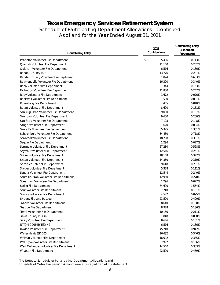### Schedule of Participating Department Allocations – Continued As of and for the Year Ended August 31, 2021

| <b>Contributing Entity</b>              | 2021<br>Contributions | <b>Contributing Entity</b><br>Allocation<br>Percentage |  |
|-----------------------------------------|-----------------------|--------------------------------------------------------|--|
| Princeton Volunteer Fire Department     | \$<br>5,436           | 0.113%                                                 |  |
| Quanah Volunteer Fire Department        | 11,160                | 0.232%                                                 |  |
| Quitman Volunteer Fire Department       | 6,516                 | 0.136%                                                 |  |
| Randall County ESU                      | 13,776                | 0.287%                                                 |  |
| Randall County Volunteer Fire Deptment  | 31,824                | 0.663%                                                 |  |
| Raymondville Volunteer Fire Department  | 16,320                | 0.340%                                                 |  |
| Reno Volunteer Fire Department          | 7,344                 | 0.153%                                                 |  |
| Richwood Volunteer Fire Department      | 11,880                | 0.247%                                                 |  |
| Roby Volunteer Fire Department          | 3,672                 | 0.076%                                                 |  |
| Rockwall Volunteer Fire Department      | 1,500                 | 0.031%                                                 |  |
| Rosenberg Fire Department               | 465                   | 0.010%                                                 |  |
| Rotan Volunteer Fire Department         | 8,690                 | 0.181%                                                 |  |
| San Augustine Volunteer Fire Department | 9,000                 | 0.187%                                                 |  |
| San Juan Volunteer Fire Department      | 9,600                 | 0.200%                                                 |  |
| San Saba Volunteer Fire Department      | 7,128                 | 0.148%                                                 |  |
| Sanger Volunteer Fire Department        | 1,620                 | 0.034%                                                 |  |
| Santa Fe Volunteer Fire Department      | 65,325                | 1.361%                                                 |  |
| Schulenburg Volunteer Fire Department   | 34,480                | 0.718%                                                 |  |
| Seabrook Volunteer Fire Department      | 18,788                | 0.391%                                                 |  |
| Seguin Fire Department                  | 1,296                 | 0.027%                                                 |  |
| Seminole Volunteer Fire Department      | 27,280                | 0.568%                                                 |  |
| Seymour Volunteer Fire Department       | 12,516                | 0.261%                                                 |  |
| Shiner Volunteer Fire Department        | 18,108                | 0.377%                                                 |  |
| Sinton Volunteer Fire Department        | 14,860                | 0.310%                                                 |  |
| Slaton Volunteer Fire Department        | 9,648                 | 0.201%                                                 |  |
| Snyder Volunteer Fire Department        | 5,328                 | 0.111%                                                 |  |
| Sonora Volunteer Fire Department        | 11,544                | 0.240%                                                 |  |
| South Houston Volunteer Fire Department | 12,960                | 0.270%                                                 |  |
| Spearman Volunteer Fire Department      | 1,296                 | 0.027%                                                 |  |
| Spring Fire Department                  | 74,600                | 1.554%                                                 |  |
| Spur Volunteer Fire Department          | 7,740                 | 0.161%                                                 |  |
| Sunray Volunteer Fire Department        | 4,572                 | 0.095%                                                 |  |
| Sweeny Fire and Rescue                  | 23,520                | 0.490%                                                 |  |
| Tahoka Volunteer Fire Department        | 8,640                 | 0.180%                                                 |  |
| Teague Fire Department                  | 8,928                 | 0.186%                                                 |  |
| Terrell Volunteer Fire Department       | 10,150                | 0.211%                                                 |  |
| Travis County ESD #6                    | 1,848                 | 0.038%                                                 |  |
| Trinity Volunteer Fire Department       | 8,676                 | 0.181%                                                 |  |
| <b>UPTON COUNTY ESD #2</b>              | 6,516                 | 0.136%                                                 |  |
| Uvalde Volunteer Fire Department        | 45,240                | 0.942%                                                 |  |
| Waller Harris ESD 200                   | 16,632                | 0.346%                                                 |  |
| Weimar Volunteer Fire Department        | 16,092                | 0.335%                                                 |  |
| Wellington Volunteer Fire Department    | 7,992                 | 0.166%                                                 |  |
| West Columbia Volunteer Fire Department | 14,560                | 0.303%                                                 |  |
| Wharton Fire Department                 | 22,500                | 0.469%                                                 |  |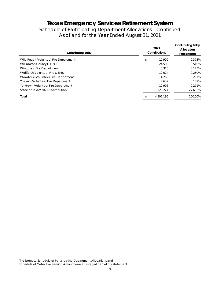Schedule of Participating Department Allocations – Continued As of and for the Year Ended August 31, 2021

| <b>Contributing Entity</b>           | Contributions | <b>Contributing Entity</b><br>Allocation<br>Percentage |         |
|--------------------------------------|---------------|--------------------------------------------------------|---------|
| Wild Peach Volunteer Fire Department | \$            | 17.900                                                 | 0.373%  |
| Williamson County ESD #1             |               | 24,500                                                 | 0.510%  |
| Windcrest Fire Department            |               | 8.316                                                  | 0.173%  |
| Wolfforth Volunteer Fire & EMS       |               | 12.024                                                 | 0.250%  |
| Woodville Volunteer Fire Department  |               | 14.265                                                 | 0.297%  |
| Yoakum Volunteer Fire Department     |               | 7.632                                                  | 0.159%  |
| Yorktown Volunteer Fire Department   |               | 12.996                                                 | 0.271%  |
| State of Texas' 2021 Contribution    |               | 1.329.224                                              | 27.685% |
| Total                                | \$            | 4,801,195                                              | 100.00% |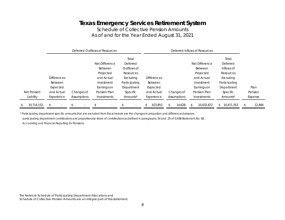Schedule of Collective Pension Amounts As of and for the Year Ended August 31, 2021

|                  |                                |                |                          | Deferred Outflows of Resources |                          |                    |             | Deferred Inflows of Resources |                  |         |
|------------------|--------------------------------|----------------|--------------------------|--------------------------------|--------------------------|--------------------|-------------|-------------------------------|------------------|---------|
|                  |                                |                |                          |                                | Total                    |                    |             |                               | Total            |         |
|                  |                                |                |                          | Net Difference                 | Deferred                 |                    |             | Net Difference                | Deferred         |         |
|                  |                                |                |                          | <b>Between</b>                 | Outflows of              |                    |             | <b>Between</b>                | Inflows of       |         |
|                  |                                |                |                          | Projected                      | Resources                |                    |             | Projected                     | Resources        |         |
|                  | <b>Differences</b>             |                |                          | and Actual                     | Excluding                | <b>Differences</b> |             | and Actual                    | Excluding        |         |
|                  | <b>Between</b>                 |                |                          | Investment                     | Participating            | <b>Between</b>     |             | Investment                    | Participating    |         |
|                  | Expected                       |                |                          | Earnings on                    | Department               | Expected           |             | Earnings on                   | Department       | Plan    |
| Net Pension      | and Actual                     | Changes of     |                          | Pension Plan                   | Specific                 | and Actual         | Changes of  | Pension Plan                  | Specific         | Pension |
| Liability        | Experience                     | Assumptions    |                          | Investments                    | Amounts*                 | Experience         | Assumptions | Investments                   | Amounts*         | Expense |
| 10,714,152<br>\$ | \$<br>$\overline{\phantom{a}}$ | $\mathfrak{L}$ | $\overline{\phantom{a}}$ |                                | $\overline{\phantom{a}}$ | 423,853            | 14,628      | 10,032,872                    | 10,471,353<br>S. | 12,484  |

\* Participating department specific amounts that are excluded from this schedule are the changes in proportion and differences between participating department contributions and proportionate share of contributions as defined in paragraphs .54 and .55 of GASB Statement No. 68, *Accounting and Financial Reporting for Pensions.*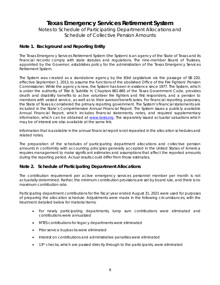Notes to Schedule of Participating Department Allocations and Schedule of Collective Pension Amounts

### **Note 1. Background and Reporting Entity**

The Texas Emergency Services Retirement System (the System) is an agency of the State of Texas and its financial records comply with state statutes and regulations. The nine-member Board of Trustees, appointed by the Governor, establishes policy for the administration of the Texas Emergency Services Retirement System.

The System was created as a standalone agency by the 83rd Legislature via the passage of SB 220, effective September 1, 2013, to assume the functions of the abolished Office of the Fire Fighters' Pension Commissioner. While the agency is new, the System has been in existence since 1977. The System, which is under the authority of Title 8, Subtitle H, Chapters 861-865 of the Texas Government Code, provides death and disability benefits to active volunteer fire fighters and first responders, and a pension to members with vested service, as well as to their survivor/beneficiaries. For financial reporting purposes, the State of Texas is considered the primary reporting government. The System's financial statements are included in the State's Comprehensive Annual Financial Report. The System issues a publicly available Annual Financial Report, which includes financial statements, notes, and required supplementary information, which can be obtained at www.tesrs.org. The separately issued actuarial valuations which may be of interest are also available at the same link.

Information that is available in the annual financial report is not repeated in the allocation schedules and related notes.

The preparation of the schedules of participating department allocations and collective pension amounts in conformity with accounting principles generally accepted in the United States of America requires management to make significant estimates and assumptions that affect the reported amounts during the reporting period. Actual results could differ from those estimates.

### **Note 2. Schedule of Participating Department Allocations**

The contribution requirement per active emergency services personnel member per month is not actuarially determined. Rather, the minimum contribution provisions are set by board rule, and there is no maximum contribution rate.

Participating department contributions for the fiscal year ended August 31, 2021 were used for purposes of preparing the allocation schedule. Adjustments were made in the following circumstances, with the treatment detailed below for material items:

- For newly participating departments, lump sum contributions were eliminated and contributions were annualized
- MTES contributions for legacy departments were eliminated
- Prior service buybacks were eliminated
- Interest on contributions and administrative penalties were eliminated
- $\bullet$  13<sup>th</sup> checks, which are passed directly through to the participants, were eliminated